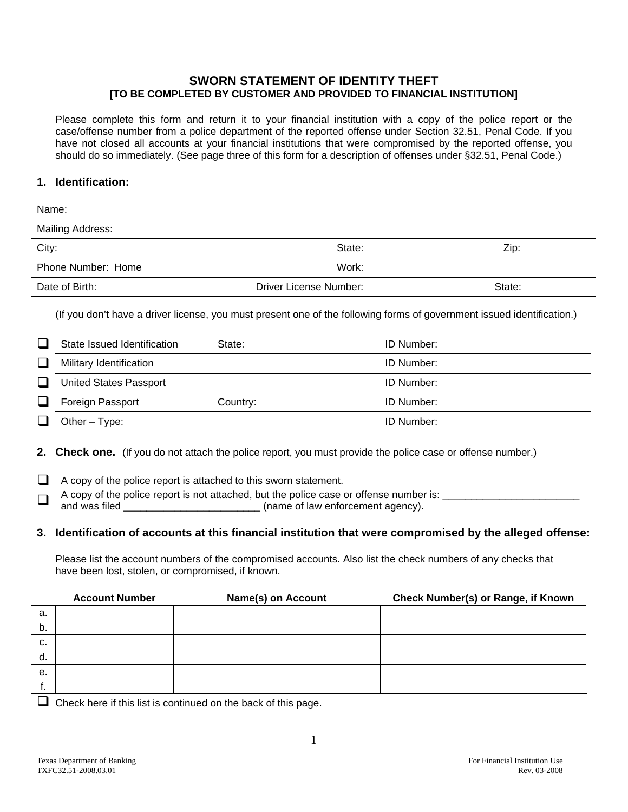## **SWORN STATEMENT OF IDENTITY THEFT [TO BE COMPLETED BY CUSTOMER AND PROVIDED TO FINANCIAL INSTITUTION]**

Please complete this form and return it to your financial institution with a copy of the police report or the case/offense number from a police department of the reported offense under Section 32.51, Penal Code. If you have not closed all accounts at your financial institutions that were compromised by the reported offense, you should do so immediately. (See page three of this form for a description of offenses under §32.51, Penal Code.)

## **1. Identification:**

| Name:              |                        |        |
|--------------------|------------------------|--------|
| Mailing Address:   |                        |        |
| City:              | State:                 | Zip:   |
| Phone Number: Home | Work:                  |        |
| Date of Birth:     | Driver License Number: | State: |
|                    |                        |        |

(If you don't have a driver license, you must present one of the following forms of government issued identification.)

|              | State Issued Identification   | State:   | <b>ID Number:</b> |
|--------------|-------------------------------|----------|-------------------|
| $\mathbf{I}$ | Military Identification       |          | <b>ID Number:</b> |
| l 1          | <b>United States Passport</b> |          | <b>ID Number:</b> |
| $\perp$      | Foreign Passport              | Country: | <b>ID Number:</b> |
|              | Other $-$ Type:               |          | <b>ID Number:</b> |

 **2. Check one.** (If you do not attach the police report, you must provide the police case or offense number.)

 $\Box$  A copy of the police report is attached to this sworn statement.

A copy of the police report is not attached, but the police case or offense number is: \_\_\_\_\_\_\_\_\_\_\_\_\_\_\_\_\_\_\_\_\_\_\_\_ and was filed \_\_\_\_\_\_\_\_\_\_\_\_\_\_\_\_\_\_\_\_\_\_\_\_ (name of law enforcement agency).

## **3. Identification of accounts at this financial institution that were compromised by the alleged offense:**

Please list the account numbers of the compromised accounts. Also list the check numbers of any checks that have been lost, stolen, or compromised, if known.

|                                                               | <b>Account Number</b> | Name(s) on Account | <b>Check Number(s) or Range, if Known</b> |  |
|---------------------------------------------------------------|-----------------------|--------------------|-------------------------------------------|--|
| a.                                                            |                       |                    |                                           |  |
| b.                                                            |                       |                    |                                           |  |
| C.                                                            |                       |                    |                                           |  |
| d.                                                            |                       |                    |                                           |  |
| e.                                                            |                       |                    |                                           |  |
| . .                                                           |                       |                    |                                           |  |
| Chook hara if this list is continued on the heak of this nego |                       |                    |                                           |  |

Check here if this list is continued on the back of this page.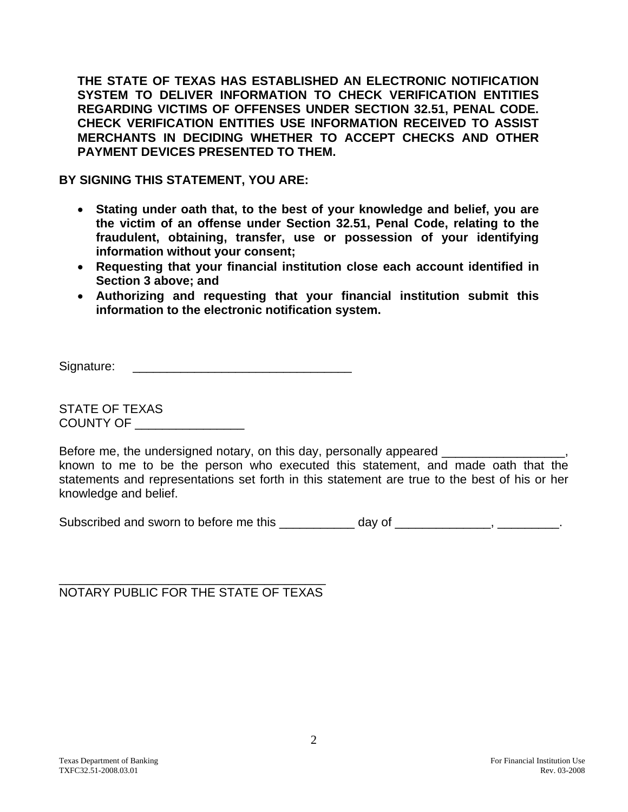**THE STATE OF TEXAS HAS ESTABLISHED AN ELECTRONIC NOTIFICATION SYSTEM TO DELIVER INFORMATION TO CHECK VERIFICATION ENTITIES REGARDING VICTIMS OF OFFENSES UNDER SECTION 32.51, PENAL CODE. CHECK VERIFICATION ENTITIES USE INFORMATION RECEIVED TO ASSIST MERCHANTS IN DECIDING WHETHER TO ACCEPT CHECKS AND OTHER PAYMENT DEVICES PRESENTED TO THEM.** 

**BY SIGNING THIS STATEMENT, YOU ARE:** 

- • **Stating under oath that, to the best of your knowledge and belief, you are the victim of an offense under Section 32.51, Penal Code, relating to the fraudulent, obtaining, transfer, use or possession of your identifying information without your consent;**
- • **Requesting that your financial institution close each account identified in Section 3 above; and**
- • **Authorizing and requesting that your financial institution submit this information to the electronic notification system.**

Signature:

STATE OF TEXAS COUNTY OF \_\_\_\_\_\_\_\_\_\_\_\_\_\_\_\_

Before me, the undersigned notary, on this day, personally appeared known to me to be the person who executed this statement, and made oath that the statements and representations set forth in this statement are true to the best of his or her knowledge and belief.

Subscribed and sworn to before me this \_\_\_\_\_\_\_\_\_\_\_ day of \_\_\_\_\_\_\_\_\_\_\_\_, \_\_\_\_\_\_\_\_\_.

\_\_\_\_\_\_\_\_\_\_\_\_\_\_\_\_\_\_\_\_\_\_\_\_\_\_\_\_\_\_\_\_\_\_\_\_\_\_\_ NOTARY PUBLIC FOR THE STATE OF TEXAS